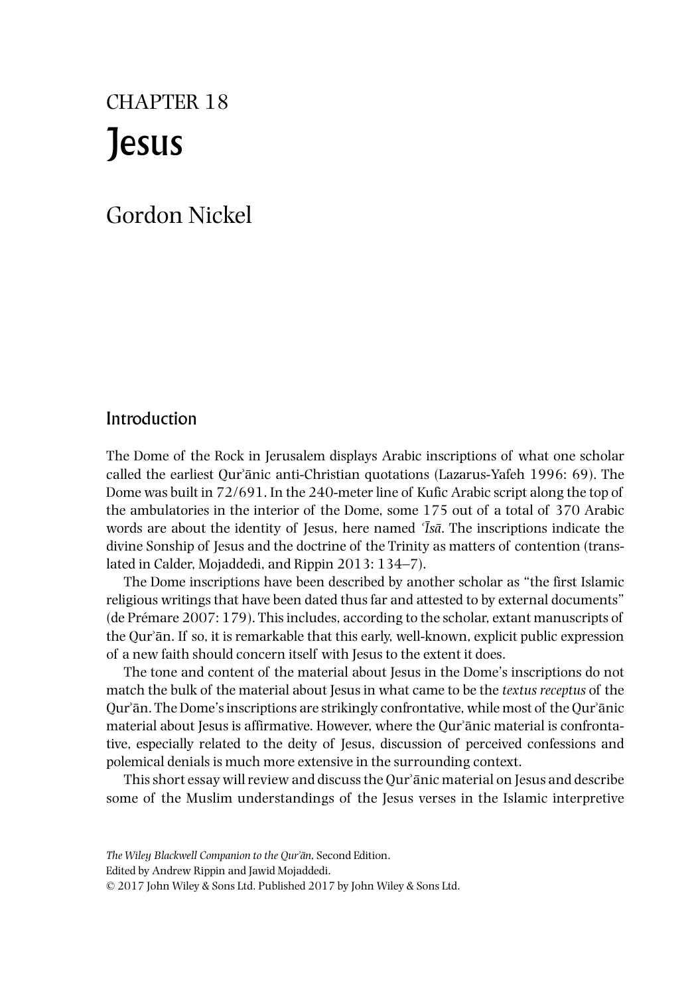# Jesus CHAPTER 18

## Gordon Nickel

## Introduction

The Dome of the Rock in Jerusalem displays Arabic inscriptions of what one scholar called the earliest Qurʾānic anti‐Christian quotations (Lazarus‐Yafeh 1996: 69). The Dome was built in  $72/691$ . In the 240-meter line of Kufic Arabic script along the top of the ambulatories in the interior of the Dome, some 175 out of a total of 370 Arabic words are about the identity of Jesus, here named *<sup><i>Is*a</sup>. The inscriptions indicate the divine Sonship of Jesus and the doctrine of the Trinity as matters of contention (translated in Calder, Mojaddedi, and Rippin 2013: 134–7).

The Dome inscriptions have been described by another scholar as "the first Islamic religious writings that have been dated thus far and attested to by external documents" (de Prémare 2007: 179). This includes, according to the scholar, extant manuscripts of the Qurʾān. If so, it is remarkable that this early, well‐known, explicit public expression of a new faith should concern itself with Jesus to the extent it does.

The tone and content of the material about Jesus in the Dome's inscriptions do not match the bulk of the material about Jesus in what came to be the *textus receptus* of the Qurʾān. The Dome's inscriptions are strikingly confrontative, while most of the Qurʾānic material about Jesus is affirmative. However, where the Qur'ānic material is confrontative, especially related to the deity of Jesus, discussion of perceived confessions and polemical denials is much more extensive in the surrounding context.

This short essay will review and discuss the Qur'anic material on Jesus and describe some of the Muslim understandings of the Jesus verses in the Islamic interpretive

Edited by Andrew Rippin and Jawid Mojaddedi.

© 2017 John Wiley & Sons Ltd. Published 2017 by John Wiley & Sons Ltd.

*The Wiley Blackwell Companion to the Qur*ʾ*a*̄*n*, Second Edition.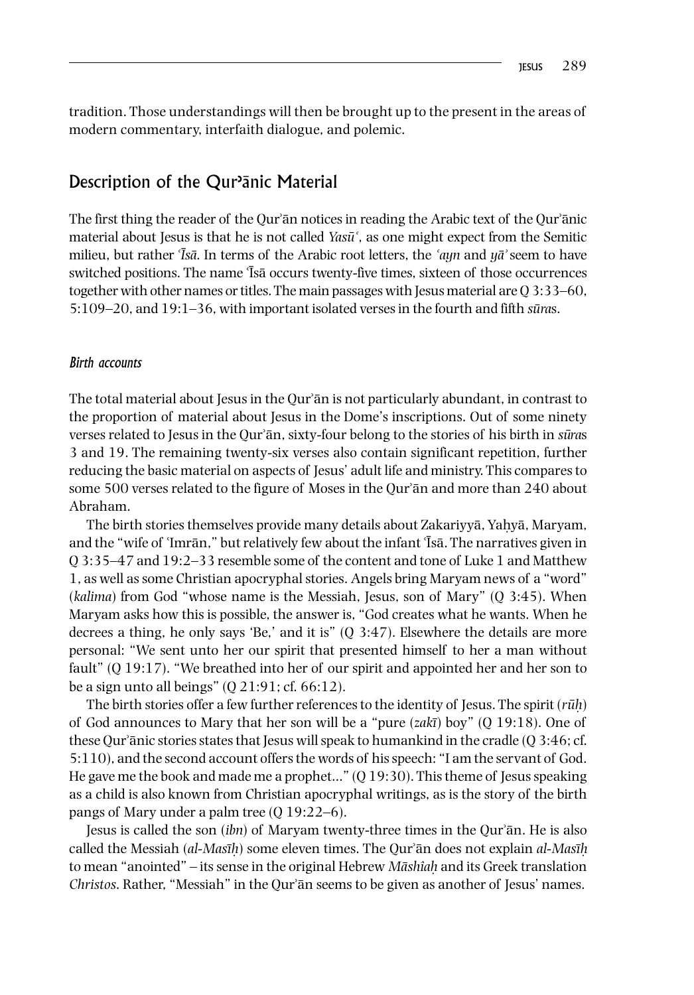tradition. Those understandings will then be brought up to the present in the areas of modern commentary, interfaith dialogue, and polemic.

## Description of the Qur<sup>,</sup>ānic Material

The first thing the reader of the Qur'an notices in reading the Arabic text of the Qur'anic material about Jesus is that he is not called *Yasū*<sup> $\cdot$ </sup>, as one might expect from the Semitic milieu, but rather ʿ*Isa*̄ . In terms of the Arabic root letters, the ̄ <sup>ʿ</sup>*ayn* and *ya*ʾ̄ seem to have switched positions. The name  $\overline{1}$ sā occurs twenty-five times, sixteen of those occurrences together with other names or titles. The main passages with Jesus material are Q 3:33–60, 5:109–20, and 19:1–36, with important isolated verses in the fourth and fifth *sūras*.

#### *Birth accounts*

The total material about Jesus in the Qur'ān is not particularly abundant, in contrast to the proportion of material about Jesus in the Dome's inscriptions. Out of some ninety verses related to Jesus in the Qurʾān, sixty‐four belong to the stories of his birth in *sura*̄ s 3 and 19. The remaining twenty‐six verses also contain significant repetition, further reducing the basic material on aspects of Jesus' adult life and ministry. This compares to some 500 verses related to the figure of Moses in the Qur'an and more than 240 about Abraham.

The birth stories themselves provide many details about Zakariyyā, Yaḥyā, Maryam, and the "wife of `Imrān," but relatively few about the infant  $\bar{1}$ sa. The narratives given in Q 3:35–47 and 19:2–33 resemble some of the content and tone of Luke 1 and Matthew 1, as well as some Christian apocryphal stories. Angels bring Maryam news of a "word" (*kalima*) from God "whose name is the Messiah, Jesus, son of Mary" (Q 3:45). When Maryam asks how this is possible, the answer is, "God creates what he wants. When he decrees a thing, he only says 'Be,' and it is" (Q 3:47). Elsewhere the details are more personal: "We sent unto her our spirit that presented himself to her a man without fault" (Q 19:17). "We breathed into her of our spirit and appointed her and her son to be a sign unto all beings" (Q 21:91; cf. 66:12).

The birth stories offer a few further references to the identity of Jesus. The spirit (*ruh*̣̄) of God announces to Mary that her son will be a "pure (*zakı*) boy" (Q 19:18). One of ̄ these Qurʾānic stories states that Jesus will speak to humankind in the cradle (Q 3:46; cf. 5:110), and the second account offers the words of his speech: "I am the servant of God. He gave me the book and made me a prophet…" (Q 19:30). This theme of Jesus speaking as a child is also known from Christian apocryphal writings, as is the story of the birth pangs of Mary under a palm tree (Q 19:22–6).

Jesus is called the son (*ibn*) of Maryam twenty‐three times in the Qurʾān. He is also called the Messiah (*al‐Masıh*̣̄) some eleven times. The Qurʾān does not explain *al‐Masıh*̣̄ to mean "anointed" – its sense in the original Hebrew *Māshîah* and its Greek translation *Christos*. Rather, "Messiah" in the Qurʾān seems to be given as another of Jesus' names.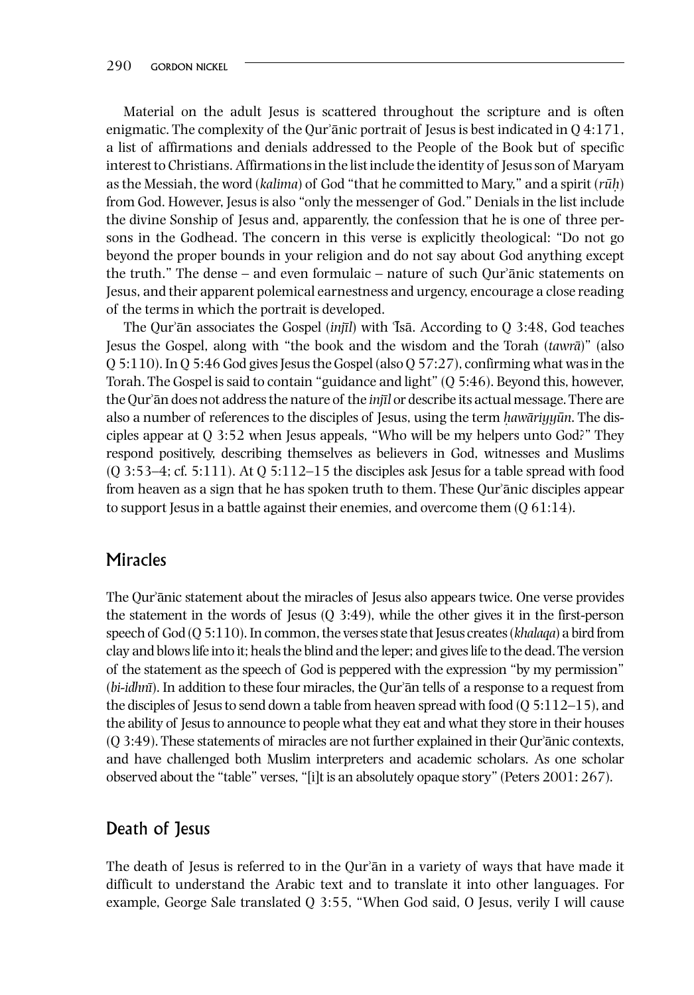Material on the adult Jesus is scattered throughout the scripture and is often enigmatic. The complexity of the Qur'ānic portrait of Jesus is best indicated in  $Q$  4:171, a list of affirmations and denials addressed to the People of the Book but of specific interest to Christians. Affirmations in the list include the identity of Jesus son of Maryam as the Messiah, the word (*kalima*) of God "that he committed to Mary," and a spirit (*rūh*) from God. However, Jesus is also "only the messenger of God." Denials in the list include the divine Sonship of Jesus and, apparently, the confession that he is one of three persons in the Godhead. The concern in this verse is explicitly theological: "Do not go beyond the proper bounds in your religion and do not say about God anything except the truth." The dense – and even formulaic – nature of such Qurʾānic statements on Jesus, and their apparent polemical earnestness and urgency, encourage a close reading of the terms in which the portrait is developed.

The Qur'ān associates the Gospel *(injil)* with **T**sā. According to Q 3:48, God teaches Jesus the Gospel, along with "the book and the wisdom and the Torah (*tawra*)" (also ̄ Q 5:110). In Q 5:46 God gives Jesus the Gospel (also Q 57:27), confirming what was in the Torah. The Gospel is said to contain "guidance and light" (Q 5:46). Beyond this, however, the Qurʾān does not address the nature of the *injıl*̄ or describe its actual message. There are also a number of references to the disciples of Jesus, using the term *hawariyyun*. The disciples appear at Q 3:52 when Jesus appeals, "Who will be my helpers unto God?" They respond positively, describing themselves as believers in God, witnesses and Muslims  $(Q_1; 3:53-4; cf. 5:111)$ . At  $Q_1; 5:112-15$  the disciples ask Jesus for a table spread with food from heaven as a sign that he has spoken truth to them. These Qurʾānic disciples appear to support Jesus in a battle against their enemies, and overcome them  $(0.61:14)$ .

### **Miracles**

The Qurʾānic statement about the miracles of Jesus also appears twice. One verse provides the statement in the words of Jesus  $(0, 3:49)$ , while the other gives it in the first-person speech of God (Q 5:110). In common, the verses state that Jesus creates (*khalaqa*) a bird from clay and blows life into it; heals the blind and the leper; and gives life to the dead. The version of the statement as the speech of God is peppered with the expression "by my permission" (*bi-idhni*). In addition to these four miracles, the Qur'an tells of a response to a request from the disciples of Jesus to send down a table from heaven spread with food (Q 5:112–15), and the ability of Jesus to announce to people what they eat and what they store in their houses (Q 3:49). These statements of miracles are not further explained in their Qurʾānic contexts, and have challenged both Muslim interpreters and academic scholars. As one scholar observed about the "table" verses, "[i]t is an absolutely opaque story" (Peters 2001: 267).

## Death of Jesus

The death of Jesus is referred to in the Qur'an in a variety of ways that have made it difficult to understand the Arabic text and to translate it into other languages. For example, George Sale translated Q 3:55, "When God said, O Jesus, verily I will cause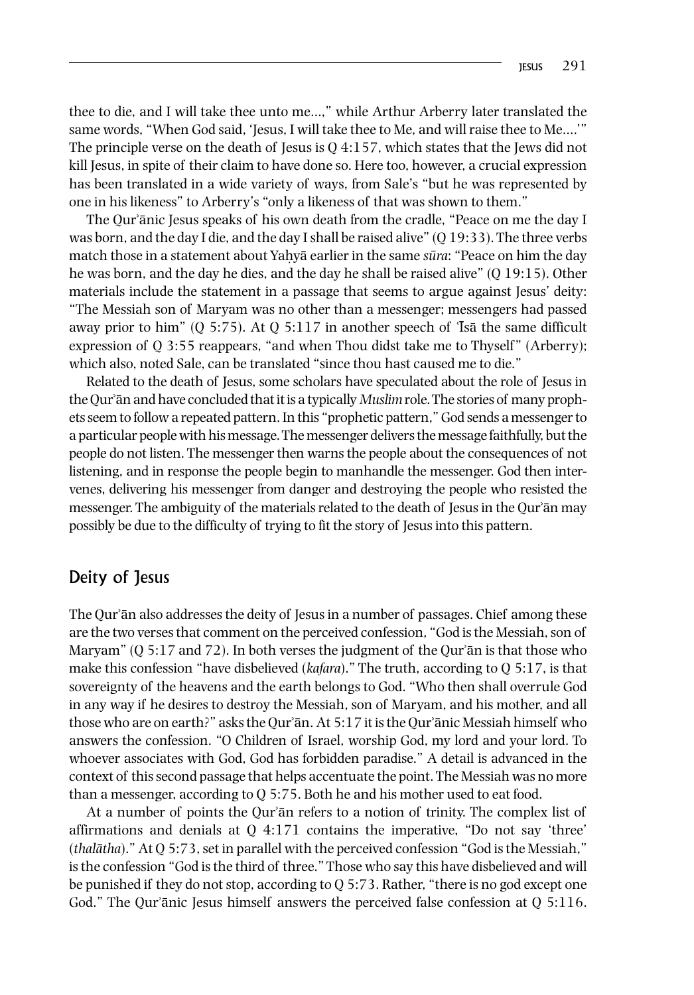thee to die, and I will take thee unto me…," while Arthur Arberry later translated the same words, "When God said, 'Jesus, I will take thee to Me, and will raise thee to Me….'" The principle verse on the death of Jesus is  $Q$  4:157, which states that the Jews did not kill Jesus, in spite of their claim to have done so. Here too, however, a crucial expression has been translated in a wide variety of ways, from Sale's "but he was represented by one in his likeness" to Arberry's "only a likeness of that was shown to them."

The Qurʾānic Jesus speaks of his own death from the cradle, "Peace on me the day I was born, and the day I die, and the day I shall be raised alive"  $(Q 19:33)$ . The three verbs match those in a statement about Yaḥyā earlier in the same *sura*̄ : "Peace on him the day he was born, and the day he dies, and the day he shall be raised alive" (O 19:15). Other materials include the statement in a passage that seems to argue against Jesus' deity: "The Messiah son of Maryam was no other than a messenger; messengers had passed away prior to him" (Q 5:75). At Q 5:117 in another speech of  $\overline{1}$ sa the same difficult expression of Q 3:55 reappears, "and when Thou didst take me to Thyself" (Arberry); which also, noted Sale, can be translated "since thou hast caused me to die."

Related to the death of Jesus, some scholars have speculated about the role of Jesus in the Qurʾān and have concluded that it is a typically *Muslim* role. The stories of many prophets seem to follow a repeated pattern. In this "prophetic pattern," God sends a messenger to a particular people with his message. The messenger delivers the message faithfully, but the people do not listen. The messenger then warns the people about the consequences of not listening, and in response the people begin to manhandle the messenger. God then intervenes, delivering his messenger from danger and destroying the people who resisted the messenger. The ambiguity of the materials related to the death of Jesus in the Qur'an may possibly be due to the difficulty of trying to fit the story of Jesus into this pattern.

## Deity of Jesus

The Qurʾān also addresses the deity of Jesus in a number of passages. Chief among these are the two verses that comment on the perceived confession, "God is the Messiah, son of Maryam"  $(Q 5:17$  and  $72)$ . In both verses the judgment of the Qur'an is that those who make this confession "have disbelieved (*kafara*)." The truth, according to Q 5:17, is that sovereignty of the heavens and the earth belongs to God. "Who then shall overrule God in any way if he desires to destroy the Messiah, son of Maryam, and his mother, and all those who are on earth?" asks the Qurʾān. At 5:17 it is the Qurʾānic Messiah himself who answers the confession. "O Children of Israel, worship God, my lord and your lord. To whoever associates with God, God has forbidden paradise." A detail is advanced in the context of this second passage that helps accentuate the point. The Messiah was no more than a messenger, according to Q 5:75. Both he and his mother used to eat food.

At a number of points the Qur'an refers to a notion of trinity. The complex list of affirmations and denials at Q 4:171 contains the imperative, "Do not say 'three'  $(thalātha)$ ." At  $Q$  5:73, set in parallel with the perceived confession "God is the Messiah," is the confession "God is the third of three." Those who say this have disbelieved and will be punished if they do not stop, according to Q 5:73. Rather, "there is no god except one God." The Qur'ānic Jesus himself answers the perceived false confession at Q 5:116.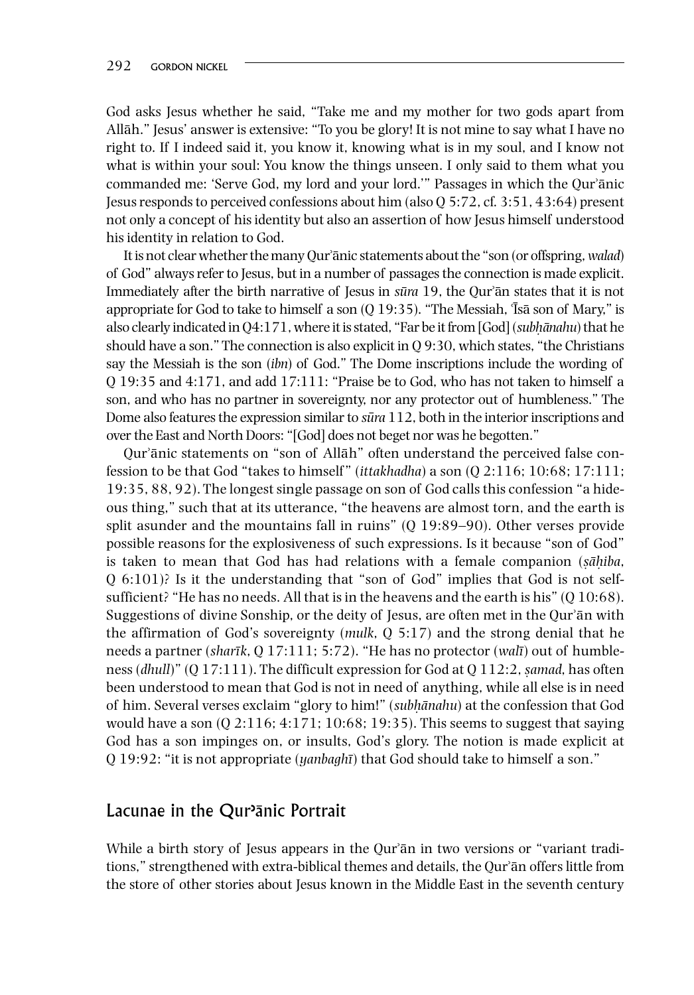God asks Jesus whether he said, "Take me and my mother for two gods apart from Allāh." Jesus' answer is extensive: "To you be glory! It is not mine to say what I have no right to. If I indeed said it, you know it, knowing what is in my soul, and I know not what is within your soul: You know the things unseen. I only said to them what you commanded me: 'Serve God, my lord and your lord.'" Passages in which the Qurʾānic Jesus responds to perceived confessions about him (also Q 5:72, cf. 3:51, 43:64) present not only a concept of his identity but also an assertion of how Jesus himself understood his identity in relation to God.

It is not clear whether the many Qurʾānic statements about the "son (or offspring, *walad*) of God" always refer to Jesus, but in a number of passages the connection is made explicit. Immediately after the birth narrative of Jesus in *sura*̄ 19, the Qurʾān states that it is not appropriate for God to take to himself a son  $(Q 19:35)$ . "The Messiah,  $\overline{1}$ sa son of Mary," is also clearly indicated in Q4:171, where it is stated, "Far be it from [God] *(subhānahu)* that he should have a son." The connection is also explicit in Q 9:30, which states, "the Christians say the Messiah is the son (*ibn*) of God." The Dome inscriptions include the wording of Q 19:35 and 4:171, and add 17:111: "Praise be to God, who has not taken to himself a son, and who has no partner in sovereignty, nor any protector out of humbleness." The Dome also features the expression similar to *sura*̄ 112, both in the interior inscriptions and over the East and North Doors: "[God] does not beget nor was he begotten."

Qurʾānic statements on "son of Allāh" often understand the perceived false confession to be that God "takes to himself " (*ittakhadha*) a son (Q 2:116; 10:68; 17:111; 19:35, 88, 92). The longest single passage on son of God calls this confession "a hideous thing," such that at its utterance, "the heavens are almost torn, and the earth is split asunder and the mountains fall in ruins" (Q 19:89–90). Other verses provide possible reasons for the explosiveness of such expressions. Is it because "son of God" is taken to mean that God has had relations with a female companion (*s*̣*ah*̣̄*iba*, Q 6:101)? Is it the understanding that "son of God" implies that God is not self‐ sufficient? "He has no needs. All that is in the heavens and the earth is his"  $(Q 10:68)$ . Suggestions of divine Sonship, or the deity of Jesus, are often met in the Qurʾān with the affirmation of God's sovereignty (*mulk*, Q 5:17) and the strong denial that he needs a partner *(sharīk, Q 17:111; 5:72).* "He has no protector *(walī)* out of humbleness (*dhull*)" (Q 17:111). The difficult expression for God at Q 112:2, *s*̣*amad*, has often been understood to mean that God is not in need of anything, while all else is in need of him. Several verses exclaim "glory to him!" *(subhānahu)* at the confession that God would have a son  $(Q 2:116; 4:171; 10:68; 19:35)$ . This seems to suggest that saying God has a son impinges on, or insults, God's glory. The notion is made explicit at Q 19:92: "it is not appropriate (*yanbaghı*) that God should take to himself a son." ̄

## Lacunae in the Qur<sup>,</sup>ānic Portrait

While a birth story of Jesus appears in the Qur'ān in two versions or "variant traditions," strengthened with extra‐biblical themes and details, the Qurʾān offers little from the store of other stories about Jesus known in the Middle East in the seventh century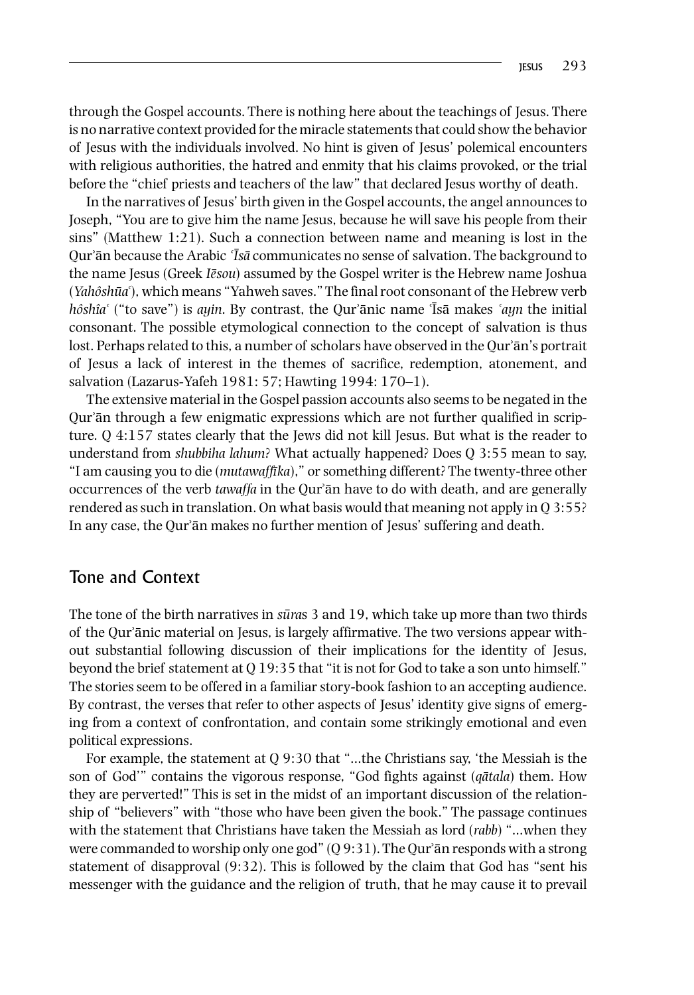through the Gospel accounts. There is nothing here about the teachings of Jesus. There is no narrative context provided for the miracle statements that could show the behavior of Jesus with the individuals involved. No hint is given of Jesus' polemical encounters with religious authorities, the hatred and enmity that his claims provoked, or the trial before the "chief priests and teachers of the law" that declared Jesus worthy of death.

In the narratives of Jesus' birth given in the Gospel accounts, the angel announces to Joseph, "You are to give him the name Jesus, because he will save his people from their sins" (Matthew 1:21). Such a connection between name and meaning is lost in the Qurʾān because the Arabic ʿ*Isa*̄ communicates no sense of salvation. The background to ̄ the name Jesus (Greek *Iesou*) assumed by the Gospel writer is the Hebrew name Joshua (*Yahôshua*̄ʿ), which means "Yahweh saves." The final root consonant of the Hebrew verb *hôshîa*<sup> $\cdot$ </sup> ("to save") is *ayin*. By contrast, the Qur'ānic name <sup>T</sup>sā makes '*ayn* the initial consonant. The possible etymological connection to the concept of salvation is thus lost. Perhaps related to this, a number of scholars have observed in the Our'ān's portrait of Jesus a lack of interest in the themes of sacrifice, redemption, atonement, and salvation (Lazarus‐Yafeh 1981: 57; Hawting 1994: 170–1).

The extensive material in the Gospel passion accounts also seems to be negated in the Qur'ān through a few enigmatic expressions which are not further qualified in scripture. Q 4:157 states clearly that the Jews did not kill Jesus. But what is the reader to understand from *shubbiha lahum*? What actually happened? Does Q 3:55 mean to say, "I am causing you to die (*mutawaffıka*̄ )," or something different? The twenty‐three other occurrences of the verb *tawaffa* in the Qurʾān have to do with death, and are generally rendered as such in translation. On what basis would that meaning not apply in Q 3:55? In any case, the Qurʾān makes no further mention of Jesus' suffering and death.

## Tone and Context

The tone of the birth narratives in *sūra*s 3 and 19, which take up more than two thirds of the Qurʾānic material on Jesus, is largely affirmative. The two versions appear without substantial following discussion of their implications for the identity of Jesus, beyond the brief statement at Q 19:35 that "it is not for God to take a son unto himself." The stories seem to be offered in a familiar story‐book fashion to an accepting audience. By contrast, the verses that refer to other aspects of Jesus' identity give signs of emerging from a context of confrontation, and contain some strikingly emotional and even political expressions.

For example, the statement at Q 9:30 that "…the Christians say, 'the Messiah is the son of God'" contains the vigorous response, "God fights against (*q* $\bar{a}$ *tala*) them. How they are perverted!" This is set in the midst of an important discussion of the relationship of "believers" with "those who have been given the book." The passage continues with the statement that Christians have taken the Messiah as lord (*rabb*) "…when they were commanded to worship only one god"  $(Q 9:31)$ . The Qur'ān responds with a strong statement of disapproval (9:32). This is followed by the claim that God has "sent his messenger with the guidance and the religion of truth, that he may cause it to prevail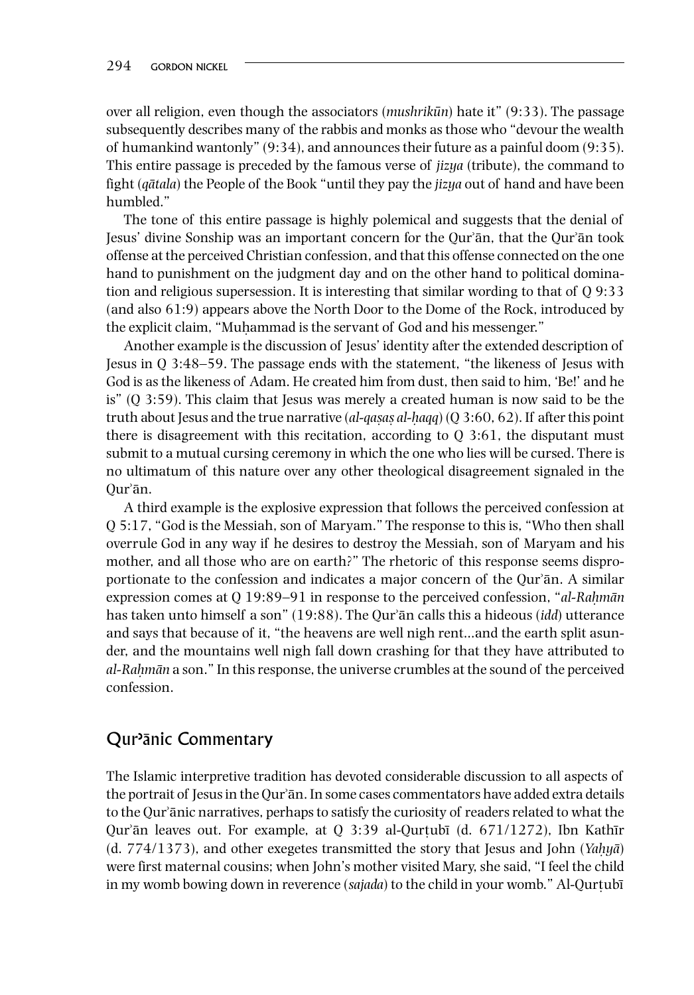over all religion, even though the associators (*mushrikun*̄ ) hate it" (9:33). The passage subsequently describes many of the rabbis and monks as those who "devour the wealth of humankind wantonly" (9:34), and announces their future as a painful doom (9:35). This entire passage is preceded by the famous verse of *jizya* (tribute), the command to fight *(gātala)* the People of the Book "until they pay the *jizya* out of hand and have been humbled."

The tone of this entire passage is highly polemical and suggests that the denial of Jesus' divine Sonship was an important concern for the Qurʾān, that the Qurʾān took offense at the perceived Christian confession, and that this offense connected on the one hand to punishment on the judgment day and on the other hand to political domination and religious supersession. It is interesting that similar wording to that of Q 9:33 (and also 61:9) appears above the North Door to the Dome of the Rock, introduced by the explicit claim, "Muhammad is the servant of God and his messenger."

Another example is the discussion of Jesus' identity after the extended description of Jesus in Q 3:48–59. The passage ends with the statement, "the likeness of Jesus with God is as the likeness of Adam. He created him from dust, then said to him, 'Be!' and he is" (Q 3:59). This claim that Jesus was merely a created human is now said to be the truth about Jesus and the true narrative (*al‐qas*̣*as*̣ *al‐h*̣*aqq*) (Q 3:60, 62). If after this point there is disagreement with this recitation, according to Q 3:61, the disputant must submit to a mutual cursing ceremony in which the one who lies will be cursed. There is no ultimatum of this nature over any other theological disagreement signaled in the Qurʾān.

A third example is the explosive expression that follows the perceived confession at Q 5:17, "God is the Messiah, son of Maryam." The response to this is, "Who then shall overrule God in any way if he desires to destroy the Messiah, son of Maryam and his mother, and all those who are on earth?" The rhetoric of this response seems disproportionate to the confession and indicates a major concern of the Qurʾān. A similar expression comes at Q 19:89–91 in response to the perceived confession, "*al‐Rah*̣*man*̄ has taken unto himself a son" (19:88). The Qurʾān calls this a hideous (*idd*) utterance and says that because of it, "the heavens are well nigh rent…and the earth split asunder, and the mountains well nigh fall down crashing for that they have attributed to *al‐Rah*̣*man*̄ a son." In this response, the universe crumbles at the sound of the perceived confession.

## Qur<sup></sup>anic Commentary

The Islamic interpretive tradition has devoted considerable discussion to all aspects of the portrait of Jesus in the Qurʾān. In some cases commentators have added extra details to the Qurʾānic narratives, perhaps to satisfy the curiosity of readers related to what the Qur'ān leaves out. For example, at Q 3:39 al-Qurtubī (d.  $671/1272$ ), Ibn Kathīr (d. 774/1373), and other exegetes transmitted the story that Jesus and John (*Yah*̣*ya*) ̄ were first maternal cousins; when John's mother visited Mary, she said, "I feel the child in my womb bowing down in reverence (*sajada*) to the child in your womb." Al‐Qurtubı ̣ ̄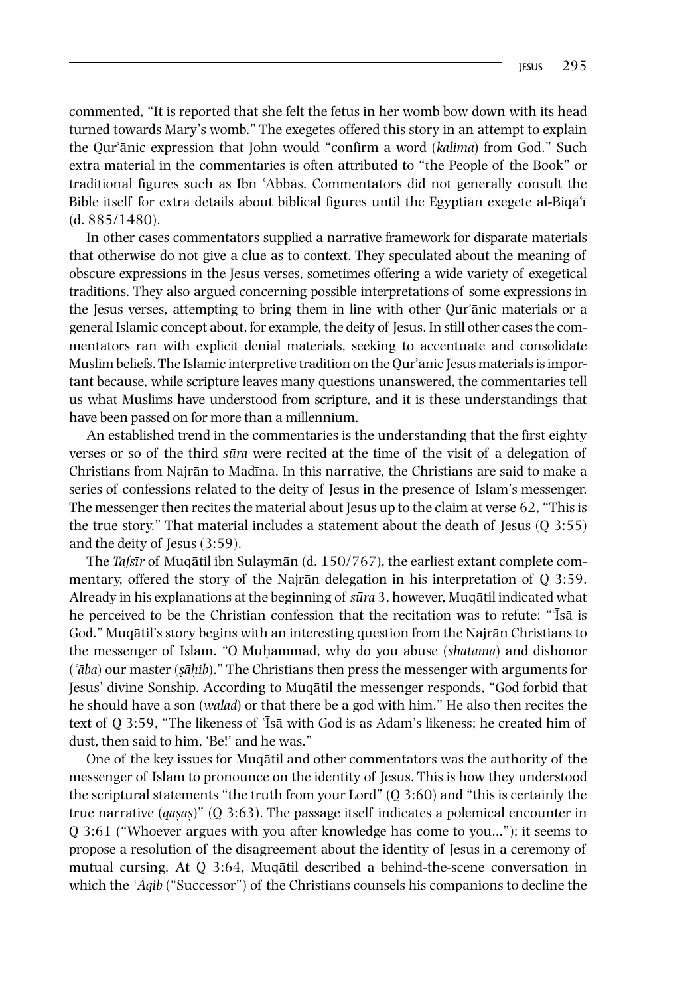commented, "It is reported that she felt the fetus in her womb bow down with its head turned towards Mary's womb." The exegetes offered this story in an attempt to explain the Qurʾānic expression that John would "confirm a word (*kalima*) from God." Such extra material in the commentaries is often attributed to "the People of the Book" or traditional figures such as Ibn ʿAbbās. Commentators did not generally consult the Bible itself for extra details about biblical figures until the Egyptian exegete al-Biqa<sup> $\tilde{\tau}$ </sup> (d. 885/1480).

In other cases commentators supplied a narrative framework for disparate materials that otherwise do not give a clue as to context. They speculated about the meaning of obscure expressions in the Jesus verses, sometimes offering a wide variety of exegetical traditions. They also argued concerning possible interpretations of some expressions in the Jesus verses, attempting to bring them in line with other Qurʾānic materials or a general Islamic concept about, for example, the deity of Jesus. In still other cases the commentators ran with explicit denial materials, seeking to accentuate and consolidate Muslim beliefs. The Islamic interpretive tradition on the Qur'ānic Jesus materials is important because, while scripture leaves many questions unanswered, the commentaries tell us what Muslims have understood from scripture, and it is these understandings that have been passed on for more than a millennium.

An established trend in the commentaries is the understanding that the first eighty verses or so of the third *sura*̄ were recited at the time of the visit of a delegation of Christians from Najrān to Madına. In this narrative, the Christians are said to make a ̄ series of confessions related to the deity of Jesus in the presence of Islam's messenger. The messenger then recites the material about Jesus up to the claim at verse 62, "This is the true story." That material includes a statement about the death of Jesus (Q 3:55) and the deity of Jesus (3:59).

The *Tafsır*̄ of Muqātil ibn Sulaymān (d. 150/767), the earliest extant complete commentary, offered the story of the Najrān delegation in his interpretation of Q 3:59. Already in his explanations at the beginning of *sura*̄ 3, however, Muqātil indicated what he perceived to be the Christian confession that the recitation was to refute: "Isa is God." Muqātil's story begins with an interesting question from the Najrān Christians to the messenger of Islam. "O Muhammad, why do you abuse *(shatama)* and dishonor (ʿ*aba*̄ ) our master (*s*̣*ah*̣̄*ib*)." The Christians then press the messenger with arguments for Jesus' divine Sonship. According to Muqātil the messenger responds, "God forbid that he should have a son (*walad*) or that there be a god with him." He also then recites the text of Q 3:59, "The likeness of 'Īsā with God is as Adam's likeness; he created him of dust, then said to him, 'Be!' and he was."

One of the key issues for Muqātil and other commentators was the authority of the messenger of Islam to pronounce on the identity of Jesus. This is how they understood the scriptural statements "the truth from your Lord" (Q 3:60) and "this is certainly the true narrative (*qas*̣*as*̣)" (Q 3:63). The passage itself indicates a polemical encounter in Q 3:61 ("Whoever argues with you after knowledge has come to you…"); it seems to propose a resolution of the disagreement about the identity of Jesus in a ceremony of mutual cursing. At  $Q_3:64$ , Muqātil described a behind-the-scene conversation in which the *`Aqib* ("Successor") of the Christians counsels his companions to decline the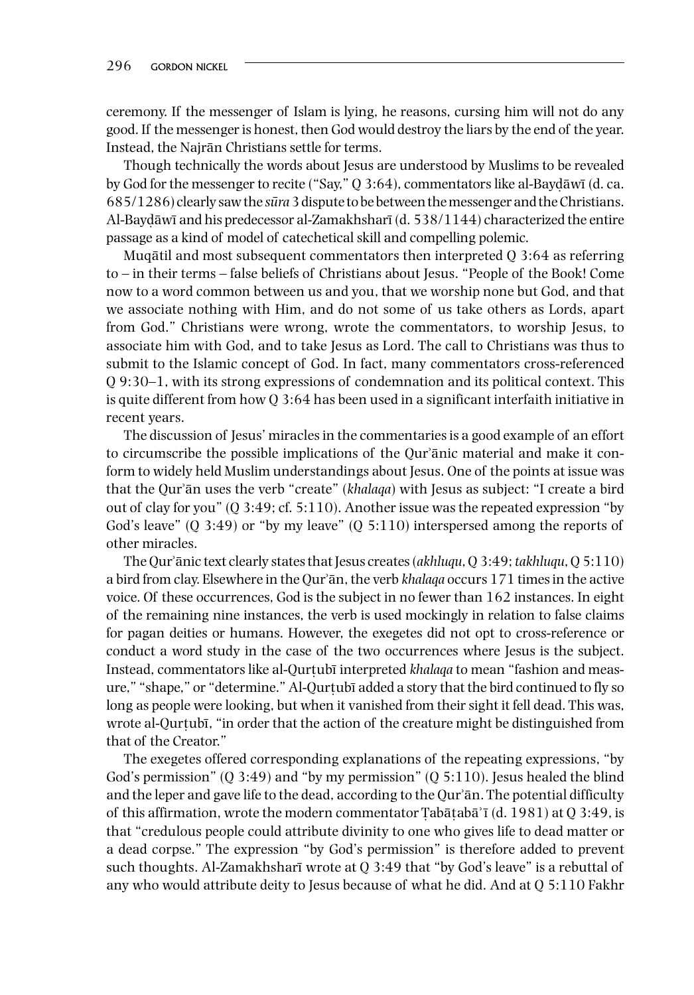ceremony. If the messenger of Islam is lying, he reasons, cursing him will not do any good. If the messenger is honest, then God would destroy the liars by the end of the year. Instead, the Najrān Christians settle for terms.

Though technically the words about Jesus are understood by Muslims to be revealed by God for the messenger to recite ("Say,"  $Q$  3:64), commentators like al-Bayd $\bar{a}$ wī (d. ca. 685/1286) clearly saw the *sura*̄ 3 dispute to be between the messenger and the Christians. Al-Baydāwī and his predecessor al-Zamakhsharī (d. 538/1144) characterized the entire passage as a kind of model of catechetical skill and compelling polemic.

Muqātil and most subsequent commentators then interpreted Q 3:64 as referring to – in their terms – false beliefs of Christians about Jesus. "People of the Book! Come now to a word common between us and you, that we worship none but God, and that we associate nothing with Him, and do not some of us take others as Lords, apart from God." Christians were wrong, wrote the commentators, to worship Jesus, to associate him with God, and to take Jesus as Lord. The call to Christians was thus to submit to the Islamic concept of God. In fact, many commentators cross-referenced Q 9:30–1, with its strong expressions of condemnation and its political context. This is quite different from how Q 3:64 has been used in a significant interfaith initiative in recent years.

The discussion of Jesus' miracles in the commentaries is a good example of an effort to circumscribe the possible implications of the Qurʾānic material and make it conform to widely held Muslim understandings about Jesus. One of the points at issue was that the Qurʾān uses the verb "create" (*khalaqa*) with Jesus as subject: "I create a bird out of clay for you"  $(0, 3:49; cf. 5:110)$ . Another issue was the repeated expression "by God's leave" (Q 3:49) or "by my leave" (Q 5:110) interspersed among the reports of other miracles.

The Qurʾānic text clearly states that Jesus creates (*akhluqu*, Q 3:49; *takhluqu*, Q 5:110) a bird from clay. Elsewhere in the Qurʾān, the verb *khalaqa* occurs 171 times in the active voice. Of these occurrences, God is the subject in no fewer than 162 instances. In eight of the remaining nine instances, the verb is used mockingly in relation to false claims for pagan deities or humans. However, the exegetes did not opt to cross-reference or conduct a word study in the case of the two occurrences where Jesus is the subject. Instead, commentators like al-Ourtub<del>i</del> interpreted *khalaqa* to mean "fashion and measure," "shape," or "determine." Al-Qurtubī added a story that the bird continued to fly so long as people were looking, but when it vanished from their sight it fell dead. This was, wrote al-Qurtubī, "in order that the action of the creature might be distinguished from that of the Creator."

The exegetes offered corresponding explanations of the repeating expressions, "by God's permission"  $(Q_3:49)$  and "by my permission"  $(Q_5:110)$ . Jesus healed the blind and the leper and gave life to the dead, according to the Qur'an. The potential difficulty of this affirmation, wrote the modern commentator Tabātabā' $\bar{i}$  (d. 1981) at Q 3:49, is that "credulous people could attribute divinity to one who gives life to dead matter or a dead corpse." The expression "by God's permission" is therefore added to prevent such thoughts. Al-Zamakhsharī wrote at  $Q$  3:49 that "by God's leave" is a rebuttal of any who would attribute deity to Jesus because of what he did. And at Q 5:110 Fakhr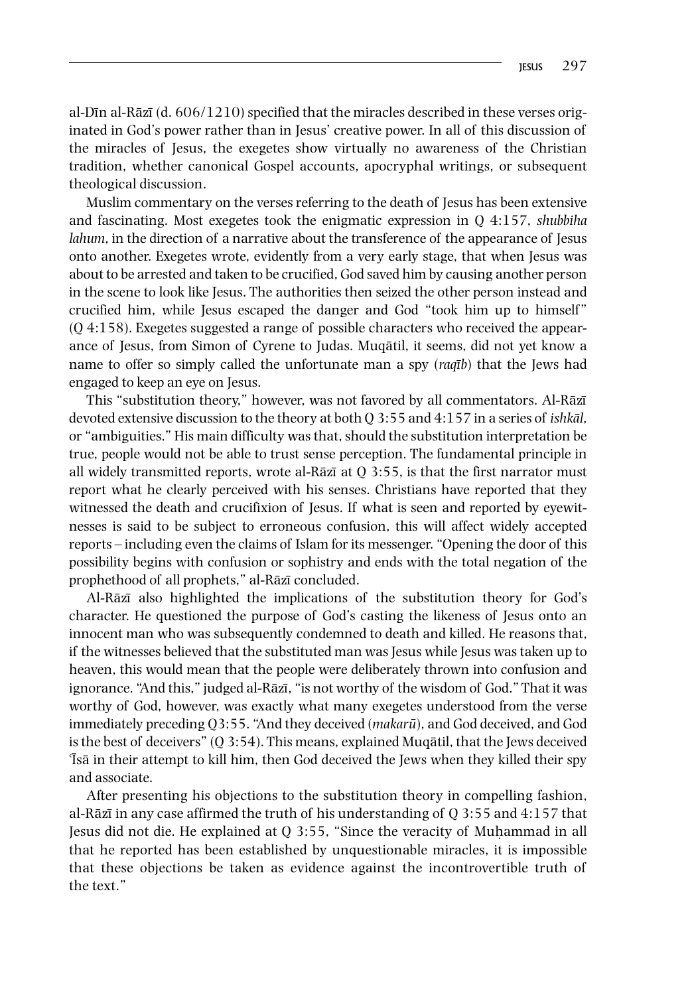al-Dīn al-Rāzī (d.  $606/1210$ ) specified that the miracles described in these verses originated in God's power rather than in Jesus' creative power. In all of this discussion of the miracles of Jesus, the exegetes show virtually no awareness of the Christian tradition, whether canonical Gospel accounts, apocryphal writings, or subsequent theological discussion.

Muslim commentary on the verses referring to the death of Jesus has been extensive and fascinating. Most exegetes took the enigmatic expression in Q 4:157, *shubbiha lahum*, in the direction of a narrative about the transference of the appearance of Jesus onto another. Exegetes wrote, evidently from a very early stage, that when Jesus was about to be arrested and taken to be crucified, God saved him by causing another person in the scene to look like Jesus. The authorities then seized the other person instead and crucified him, while Jesus escaped the danger and God "took him up to himself" (Q 4:158). Exegetes suggested a range of possible characters who received the appearance of Jesus, from Simon of Cyrene to Judas. Muqātil, it seems, did not yet know a name to offer so simply called the unfortunate man a spy (*raqıb*̄) that the Jews had engaged to keep an eye on Jesus.

This "substitution theory," however, was not favored by all commentators. Al-Rāzī devoted extensive discussion to the theory at both Q 3:55 and 4:157 in a series of *ishkal*̄, or "ambiguities." His main difficulty was that, should the substitution interpretation be true, people would not be able to trust sense perception. The fundamental principle in all widely transmitted reports, wrote al-Rāzī at  $Q$  3:55, is that the first narrator must report what he clearly perceived with his senses. Christians have reported that they witnessed the death and crucifixion of Jesus. If what is seen and reported by eyewitnesses is said to be subject to erroneous confusion, this will affect widely accepted reports – including even the claims of Islam for its messenger. "Opening the door of this possibility begins with confusion or sophistry and ends with the total negation of the prophethood of all prophets," al-Rāzī concluded.

Al-Rāzī also highlighted the implications of the substitution theory for God's character. He questioned the purpose of God's casting the likeness of Jesus onto an innocent man who was subsequently condemned to death and killed. He reasons that, if the witnesses believed that the substituted man was Jesus while Jesus was taken up to heaven, this would mean that the people were deliberately thrown into confusion and ignorance. "And this," judged al-Rāzī, "is not worthy of the wisdom of God." That it was worthy of God, however, was exactly what many exegetes understood from the verse immediately preceding Q3:55. "And they deceived (*makaru*), and God deceived, and God ̄ is the best of deceivers" (Q 3:54). This means, explained Muqātil, that the Jews deceived Tsā in their attempt to kill him, then God deceived the Jews when they killed their spy and associate.

After presenting his objections to the substitution theory in compelling fashion, al-Rāzī in any case affirmed the truth of his understanding of  $O$  3:55 and 4:157 that Jesus did not die. He explained at Q 3:55, "Since the veracity of Muḥammad in all that he reported has been established by unquestionable miracles, it is impossible that these objections be taken as evidence against the incontrovertible truth of the text."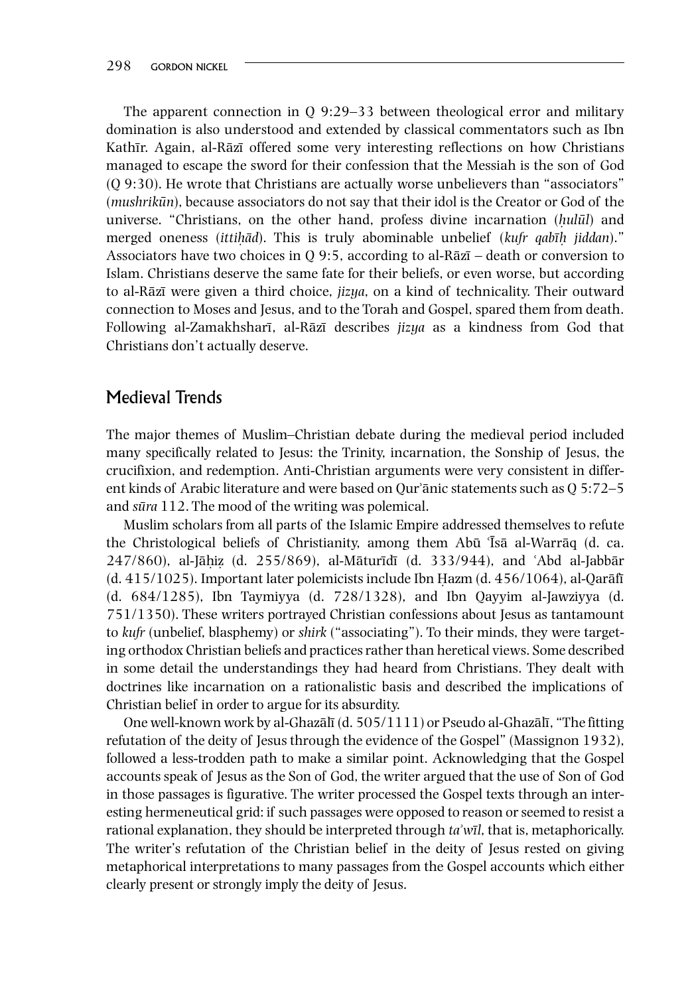The apparent connection in Q 9:29–33 between theological error and military domination is also understood and extended by classical commentators such as Ibn Kathīr. Again, al-Rāzī offered some very interesting reflections on how Christians managed to escape the sword for their confession that the Messiah is the son of God (Q 9:30). He wrote that Christians are actually worse unbelievers than "associators" (*mushrikūn*), because associators do not say that their idol is the Creator or God of the universe. "Christians, on the other hand, profess divine incarnation (*h*̣*ulul* ̄) and merged oneness (*ittih*̣*ad*̄). This is truly abominable unbelief (*kufr qabıh*̣̄ *jiddan*)." Associators have two choices in Q 9:5, according to al-Rāzī – death or conversion to Islam. Christians deserve the same fate for their beliefs, or even worse, but according to al-Rāzī were given a third choice, *jizya*, on a kind of technicality. Their outward connection to Moses and Jesus, and to the Torah and Gospel, spared them from death. Following al-Zamakhsharī, al-Rāzī describes *jizya* as a kindness from God that Christians don't actually deserve.

## Medieval Trends

The major themes of Muslim–Christian debate during the medieval period included many specifically related to Jesus: the Trinity, incarnation, the Sonship of Jesus, the crucifixion, and redemption. Anti‐Christian arguments were very consistent in different kinds of Arabic literature and were based on Qurʾānic statements such as Q 5:72–5 and *sura*̄ 112. The mood of the writing was polemical.

Muslim scholars from all parts of the Islamic Empire addressed themselves to refute the Christological beliefs of Christianity, among them Abū Tsā al-Warrāq (d. ca. 247/860), al-Jāhiz (d. 255/869), al-Māturīdī (d. 333/944), and ʿAbd al-Jabbār  $(d. 415/1025)$ . Important later polemicists include Ibn Hazm  $(d. 456/1064)$ , al-Qarāfī (d. 684/1285), Ibn Taymiyya (d. 728/1328), and Ibn Qayyim al‐Jawziyya (d. 751/1350). These writers portrayed Christian confessions about Jesus as tantamount to *kufr* (unbelief, blasphemy) or *shirk* ("associating"). To their minds, they were targeting orthodox Christian beliefs and practices rather than heretical views. Some described in some detail the understandings they had heard from Christians. They dealt with doctrines like incarnation on a rationalistic basis and described the implications of Christian belief in order to argue for its absurdity.

One well-known work by al-Ghazālī (d. 505/1111) or Pseudo al-Ghazālī, "The fitting refutation of the deity of Jesus through the evidence of the Gospel" (Massignon 1932), followed a less‐trodden path to make a similar point. Acknowledging that the Gospel accounts speak of Jesus as the Son of God, the writer argued that the use of Son of God in those passages is figurative. The writer processed the Gospel texts through an interesting hermeneutical grid: if such passages were opposed to reason or seemed to resist a rational explanation, they should be interpreted through *ta*ʾ*wıl*̄, that is, metaphorically. The writer's refutation of the Christian belief in the deity of Jesus rested on giving metaphorical interpretations to many passages from the Gospel accounts which either clearly present or strongly imply the deity of Jesus.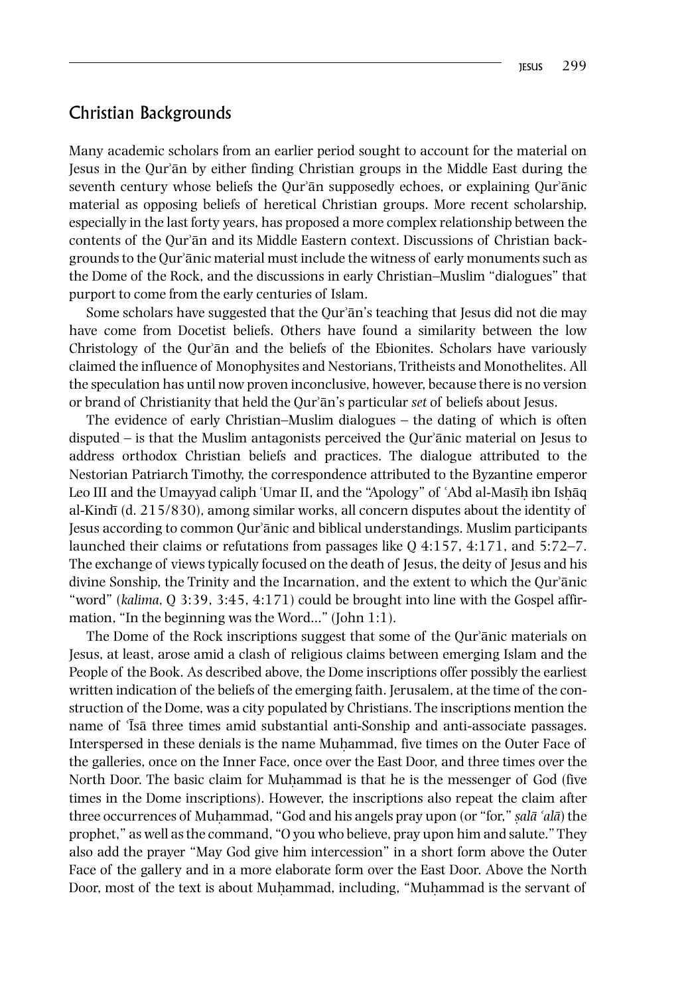#### Christian Backgrounds

Many academic scholars from an earlier period sought to account for the material on Jesus in the Qurʾān by either finding Christian groups in the Middle East during the seventh century whose beliefs the Qur'an supposedly echoes, or explaining Qur'anic material as opposing beliefs of heretical Christian groups. More recent scholarship, especially in the last forty years, has proposed a more complex relationship between the contents of the Qurʾān and its Middle Eastern context. Discussions of Christian backgrounds to the Qurʾānic material must include the witness of early monuments such as the Dome of the Rock, and the discussions in early Christian–Muslim "dialogues" that purport to come from the early centuries of Islam.

Some scholars have suggested that the Qur'ān's teaching that Jesus did not die may have come from Docetist beliefs. Others have found a similarity between the low Christology of the Qurʾān and the beliefs of the Ebionites. Scholars have variously claimed the influence of Monophysites and Nestorians, Tritheists and Monothelites. All the speculation has until now proven inconclusive, however, because there is no version or brand of Christianity that held the Qurʾān's particular *set* of beliefs about Jesus.

The evidence of early Christian–Muslim dialogues – the dating of which is often disputed – is that the Muslim antagonists perceived the Qurʾānic material on Jesus to address orthodox Christian beliefs and practices. The dialogue attributed to the Nestorian Patriarch Timothy, the correspondence attributed to the Byzantine emperor Leo III and the Umayyad caliph 'Umar II, and the "Apology" of `Abd al-Masīh ibn Ishāq al-Kindī (d.  $215/830$ ), among similar works, all concern disputes about the identity of Jesus according to common Qurʾānic and biblical understandings. Muslim participants launched their claims or refutations from passages like Q 4:157, 4:171, and 5:72–7. The exchange of views typically focused on the death of Jesus, the deity of Jesus and his divine Sonship, the Trinity and the Incarnation, and the extent to which the Qurʾānic "word" (*kalima*, Q 3:39, 3:45, 4:171) could be brought into line with the Gospel affirmation, "In the beginning was the Word…" (John 1:1).

The Dome of the Rock inscriptions suggest that some of the Qur'anic materials on Jesus, at least, arose amid a clash of religious claims between emerging Islam and the People of the Book. As described above, the Dome inscriptions offer possibly the earliest written indication of the beliefs of the emerging faith. Jerusalem, at the time of the construction of the Dome, was a city populated by Christians. The inscriptions mention the name of  $\overline{1}$ sa three times amid substantial anti-Sonship and anti-associate passages. Interspersed in these denials is the name Muḥammad, five times on the Outer Face of the galleries, once on the Inner Face, once over the East Door, and three times over the North Door. The basic claim for Muhammad is that he is the messenger of God (five times in the Dome inscriptions). However, the inscriptions also repeat the claim after three occurrences of Muhammad, "God and his angels pray upon (or "for," *sala* '*ala*) the prophet," as well as the command, "O you who believe, pray upon him and salute." They also add the prayer "May God give him intercession" in a short form above the Outer Face of the gallery and in a more elaborate form over the East Door. Above the North Door, most of the text is about Muhammad, including, "Muhammad is the servant of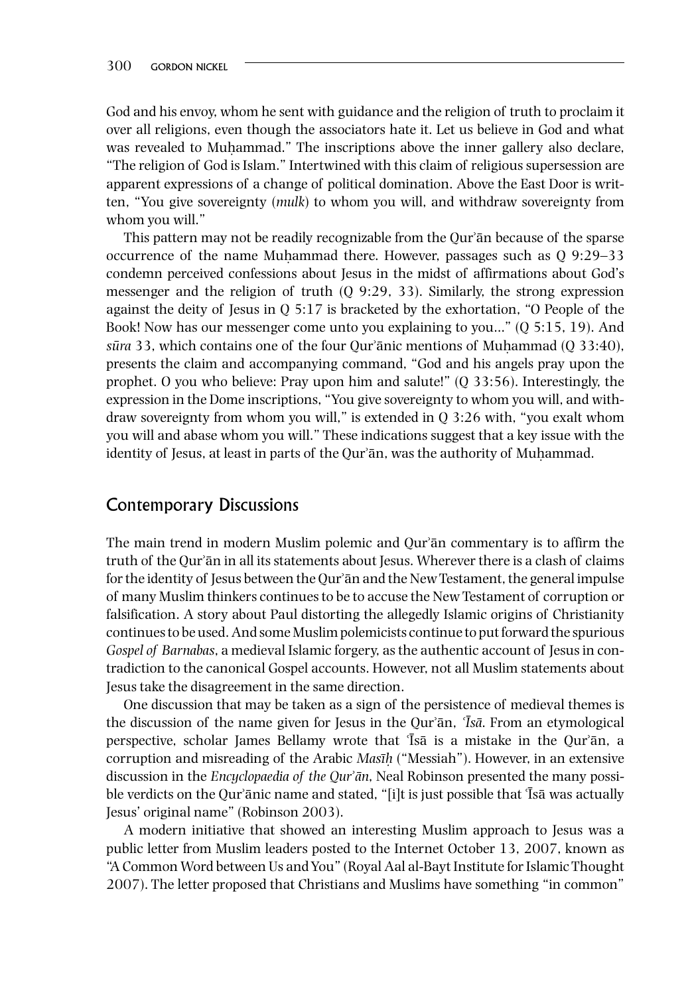God and his envoy, whom he sent with guidance and the religion of truth to proclaim it over all religions, even though the associators hate it. Let us believe in God and what was revealed to Muhammad." The inscriptions above the inner gallery also declare, "The religion of God is Islam." Intertwined with this claim of religious supersession are apparent expressions of a change of political domination. Above the East Door is written, "You give sovereignty (*mulk*) to whom you will, and withdraw sovereignty from whom you will."

This pattern may not be readily recognizable from the Qur'an because of the sparse occurrence of the name Muḥammad there. However, passages such as Q 9:29–33 condemn perceived confessions about Jesus in the midst of affirmations about God's messenger and the religion of truth (Q 9:29, 33). Similarly, the strong expression against the deity of Jesus in  $Q$  5:17 is bracketed by the exhortation, "O People of the Book! Now has our messenger come unto you explaining to you…" (Q 5:15, 19). And *sura*̄ 33, which contains one of the four Qurʾānic mentions of Muḥammad (Q 33:40), presents the claim and accompanying command, "God and his angels pray upon the prophet. O you who believe: Pray upon him and salute!" (Q 33:56). Interestingly, the expression in the Dome inscriptions, "You give sovereignty to whom you will, and withdraw sovereignty from whom you will," is extended in Q 3:26 with, "you exalt whom you will and abase whom you will." These indications suggest that a key issue with the identity of Jesus, at least in parts of the Qur'ān, was the authority of Muhammad.

### Contemporary Discussions

The main trend in modern Muslim polemic and Qurʾān commentary is to affirm the truth of the Qurʾān in all its statements about Jesus. Wherever there is a clash of claims for the identity of Jesus between the Qurʾān and the New Testament, the general impulse of many Muslim thinkers continues to be to accuse the New Testament of corruption or falsification. A story about Paul distorting the allegedly Islamic origins of Christianity continues to be used. And some Muslim polemicists continue to put forward the spurious *Gospel of Barnabas*, a medieval Islamic forgery, as the authentic account of Jesus in contradiction to the canonical Gospel accounts. However, not all Muslim statements about Jesus take the disagreement in the same direction.

One discussion that may be taken as a sign of the persistence of medieval themes is the discussion of the name given for Jesus in the Qurʾān, ʿ*Isa*̄ . From an etymological ̄ perspective, scholar James Bellamy wrote that <sup>T</sup>Isā is a mistake in the Qur<sup>*i*</sup>an, a corruption and misreading of the Arabic *Masıh*̣̄ ("Messiah"). However, in an extensive discussion in the *Encyclopaedia of the Qur*ʾ*an*̄, Neal Robinson presented the many possible verdicts on the Qur'ānic name and stated, "[i]t is just possible that 'Īsā was actually Jesus' original name" (Robinson 2003).

A modern initiative that showed an interesting Muslim approach to Jesus was a public letter from Muslim leaders posted to the Internet October 13, 2007, known as "A Common Word between Us and You" (Royal Aal al‐Bayt Institute for Islamic Thought 2007). The letter proposed that Christians and Muslims have something "in common"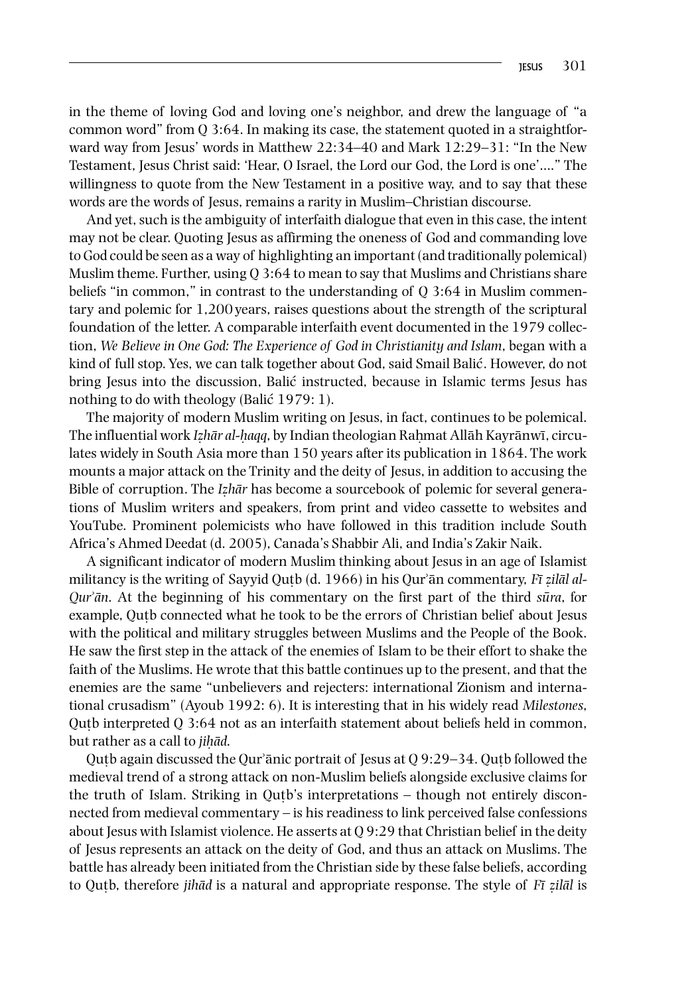in the theme of loving God and loving one's neighbor, and drew the language of "a common word" from Q 3:64. In making its case, the statement quoted in a straightforward way from Jesus' words in Matthew 22:34–40 and Mark 12:29–31: "In the New Testament, Jesus Christ said: 'Hear, O Israel, the Lord our God, the Lord is one'…." The willingness to quote from the New Testament in a positive way, and to say that these words are the words of Jesus, remains a rarity in Muslim–Christian discourse.

And yet, such is the ambiguity of interfaith dialogue that even in this case, the intent may not be clear. Quoting Jesus as affirming the oneness of God and commanding love to God could be seen as a way of highlighting an important (and traditionally polemical) Muslim theme. Further, using Q 3:64 to mean to say that Muslims and Christians share beliefs "in common," in contrast to the understanding of Q 3:64 in Muslim commentary and polemic for 1,200years, raises questions about the strength of the scriptural foundation of the letter. A comparable interfaith event documented in the 1979 collection, *We Believe in One God: The Experience of God in Christianity and Islam*, began with a kind of full stop. Yes, we can talk together about God, said Smail Balic. However, do not ́ bring Jesus into the discussion, Balic instructed, because in Islamic terms Jesus has nothing to do with theology (Balic  $1979:1$ ).

The majority of modern Muslim writing on Jesus, in fact, continues to be polemical. The influential work *Izhār al-haqq*, by Indian theologian Rahmat Allāh Kayrānwī, circulates widely in South Asia more than 150 years after its publication in 1864. The work mounts a major attack on the Trinity and the deity of Jesus, in addition to accusing the Bible of corruption. The *Iz*̣*har*̄ has become a sourcebook of polemic for several generations of Muslim writers and speakers, from print and video cassette to websites and YouTube. Prominent polemicists who have followed in this tradition include South Africa's Ahmed Deedat (d. 2005), Canada's Shabbir Ali, and India's Zakir Naik.

A significant indicator of modern Muslim thinking about Jesus in an age of Islamist militancy is the writing of Sayyid Qutb (d. 1966) in his Qur'an commentary, *Fi zilal al-Qur*ʾ*an*̄. At the beginning of his commentary on the first part of the third *sura*̄ , for example, Outb connected what he took to be the errors of Christian belief about Jesus with the political and military struggles between Muslims and the People of the Book. He saw the first step in the attack of the enemies of Islam to be their effort to shake the faith of the Muslims. He wrote that this battle continues up to the present, and that the enemies are the same "unbelievers and rejecters: international Zionism and international crusadism" (Ayoub 1992: 6). It is interesting that in his widely read *Milestones*, Qutb interpreted Q 3:64 not as an interfaith statement about beliefs held in common, ̣ but rather as a call to *jih*̣*ad*̄.

Qutb again discussed the Qur'ānic portrait of Jesus at  $Q$  9:29–34. Qutb followed the medieval trend of a strong attack on non‐Muslim beliefs alongside exclusive claims for the truth of Islam. Striking in Qutb's interpretations  $-$  though not entirely disconnected from medieval commentary – is his readiness to link perceived false confessions about Jesus with Islamist violence. He asserts at  $Q$  9:29 that Christian belief in the deity of Jesus represents an attack on the deity of God, and thus an attack on Muslims. The battle has already been initiated from the Christian side by these false beliefs, according to Qutb, therefore ̣ *jihad*̄ is a natural and appropriate response. The style of *Fı z*̄ ̣*ilal*̄ is